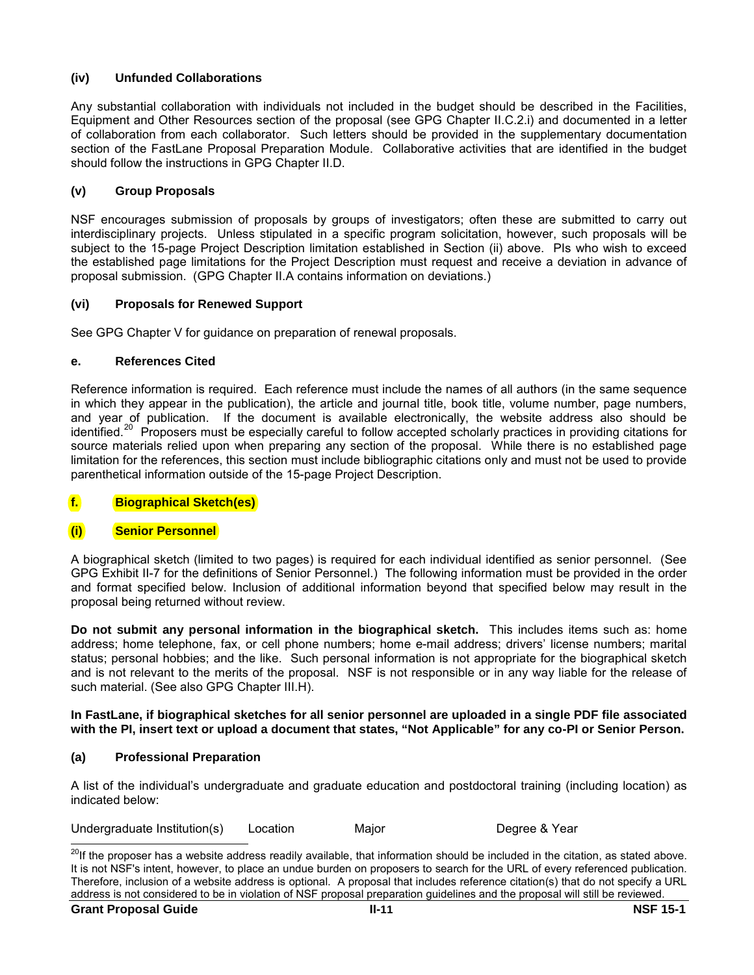## **(iv) Unfunded Collaborations**

Any substantial collaboration with individuals not included in the budget should be described in the Facilities, Equipment and Other Resources section of the proposal (see GPG Chapter II.C.2.i) and documented in a letter of collaboration from each collaborator. Such letters should be provided in the supplementary documentation section of the FastLane Proposal Preparation Module. Collaborative activities that are identified in the budget should follow the instructions in GPG Chapter II.D.

## **(v) Group Proposals**

NSF encourages submission of proposals by groups of investigators; often these are submitted to carry out interdisciplinary projects. Unless stipulated in a specific program solicitation, however, such proposals will be subject to the 15-page Project Description limitation established in Section (ii) above. PIs who wish to exceed the established page limitations for the Project Description must request and receive a deviation in advance of proposal submission. (GPG Chapter II.A contains information on deviations.)

## **(vi) Proposals for Renewed Support**

See GPG Chapter V for guidance on preparation of renewal proposals.

## **e. References Cited**

Reference information is required. Each reference must include the names of all authors (in the same sequence in which they appear in the publication), the article and journal title, book title, volume number, page numbers, and year of publication. If the document is available electronically, the website address also should be identified.<sup>[20](#page-0-0)</sup> Proposers must be especially careful to follow accepted scholarly practices in providing citations for source materials relied upon when preparing any section of the proposal. While there is no established page limitation for the references, this section must include bibliographic citations only and must not be used to provide parenthetical information outside of the 15-page Project Description.

# **f. Biographical Sketch(es)**

## **(i) Senior Personnel**

A biographical sketch (limited to two pages) is required for each individual identified as senior personnel. (See GPG Exhibit II-7 for the definitions of Senior Personnel.) The following information must be provided in the order and format specified below. Inclusion of additional information beyond that specified below may result in the proposal being returned without review.

**Do not submit any personal information in the biographical sketch.** This includes items such as: home address; home telephone, fax, or cell phone numbers; home e-mail address; drivers' license numbers; marital status; personal hobbies; and the like. Such personal information is not appropriate for the biographical sketch and is not relevant to the merits of the proposal. NSF is not responsible or in any way liable for the release of such material. (See also GPG Chapter III.H).

#### **In FastLane, if biographical sketches for all senior personnel are uploaded in a single PDF file associated with the PI, insert text or upload a document that states, "Not Applicable" for any co-PI or Senior Person.**

## **(a) Professional Preparation**

A list of the individual's undergraduate and graduate education and postdoctoral training (including location) as indicated below:

Undergraduate Institution(s) Location Major Degree & Year

l

<span id="page-0-0"></span><sup>&</sup>lt;sup>20</sup>If the proposer has a website address readily available, that information should be included in the citation, as stated above. It is not NSF's intent, however, to place an undue burden on proposers to search for the URL of every referenced publication. Therefore, inclusion of a website address is optional. A proposal that includes reference citation(s) that do not specify a URL address is not considered to be in violation of NSF proposal preparation guidelines and the proposal will still be reviewed.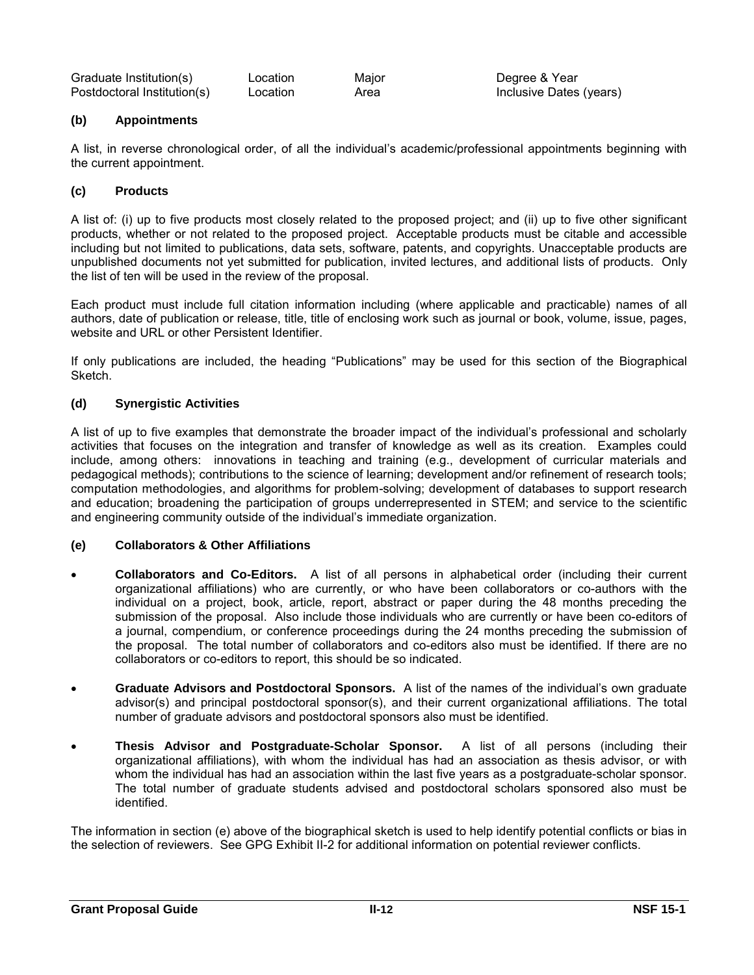| Graduate Institution(s)     | Location | Major |
|-----------------------------|----------|-------|
| Postdoctoral Institution(s) | Location | Area  |

## **(b) Appointments**

A list, in reverse chronological order, of all the individual's academic/professional appointments beginning with the current appointment.

## **(c) Products**

A list of: (i) up to five products most closely related to the proposed project; and (ii) up to five other significant products, whether or not related to the proposed project. Acceptable products must be citable and accessible including but not limited to publications, data sets, software, patents, and copyrights. Unacceptable products are unpublished documents not yet submitted for publication, invited lectures, and additional lists of products. Only the list of ten will be used in the review of the proposal.

Each product must include full citation information including (where applicable and practicable) names of all authors, date of publication or release, title, title of enclosing work such as journal or book, volume, issue, pages, website and URL or other Persistent Identifier.

If only publications are included, the heading "Publications" may be used for this section of the Biographical Sketch.

## **(d) Synergistic Activities**

A list of up to five examples that demonstrate the broader impact of the individual's professional and scholarly activities that focuses on the integration and transfer of knowledge as well as its creation. Examples could include, among others: innovations in teaching and training (e.g., development of curricular materials and pedagogical methods); contributions to the science of learning; development and/or refinement of research tools; computation methodologies, and algorithms for problem-solving; development of databases to support research and education; broadening the participation of groups underrepresented in STEM; and service to the scientific and engineering community outside of the individual's immediate organization.

## **(e) Collaborators & Other Affiliations**

- **Collaborators and Co-Editors.** A list of all persons in alphabetical order (including their current organizational affiliations) who are currently, or who have been collaborators or co-authors with the individual on a project, book, article, report, abstract or paper during the 48 months preceding the submission of the proposal. Also include those individuals who are currently or have been co-editors of a journal, compendium, or conference proceedings during the 24 months preceding the submission of the proposal. The total number of collaborators and co-editors also must be identified. If there are no collaborators or co-editors to report, this should be so indicated.
- **Graduate Advisors and Postdoctoral Sponsors.** A list of the names of the individual's own graduate advisor(s) and principal postdoctoral sponsor(s), and their current organizational affiliations. The total number of graduate advisors and postdoctoral sponsors also must be identified.
- **Thesis Advisor and Postgraduate-Scholar Sponsor.** A list of all persons (including their organizational affiliations), with whom the individual has had an association as thesis advisor, or with whom the individual has had an association within the last five years as a postgraduate-scholar sponsor. The total number of graduate students advised and postdoctoral scholars sponsored also must be identified.

The information in section (e) above of the biographical sketch is used to help identify potential conflicts or bias in the selection of reviewers. See GPG Exhibit II-2 for additional information on potential reviewer conflicts.